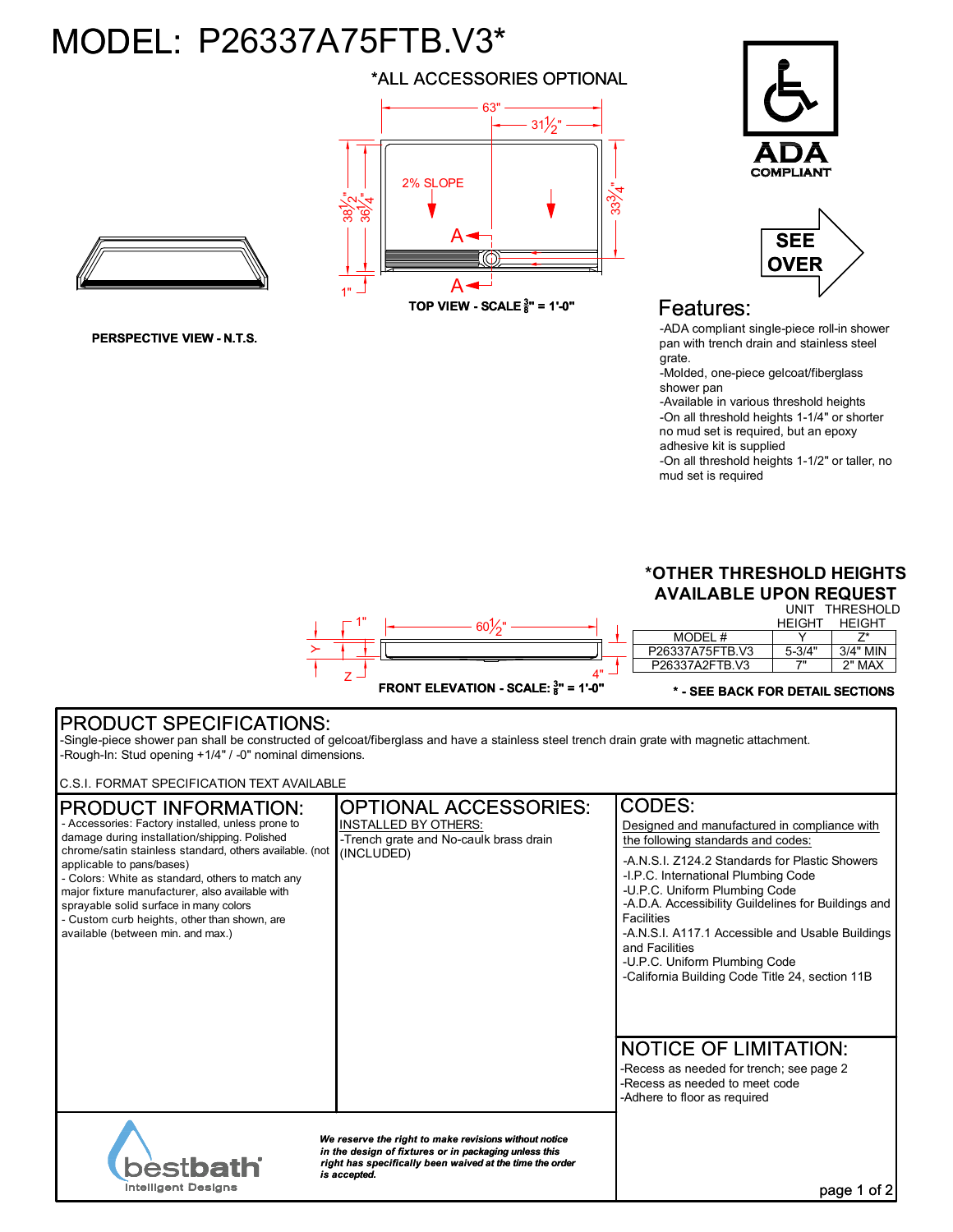## MODEL: P26337A75FTB.V3\*

\*ALL ACCESSORIES OPTIONAL





**PERSPECTIVE VIEW - N.T.S.**

**TOP VIEW - SCALE <sup>3</sup> 8 " = 1'-0"**





## Features:

-ADA compliant single-piece roll-in shower pan with trench drain and stainless steel grate.

-Molded, one-piece gelcoat/fiberglass shower pan

-Available in various threshold heights -On all threshold heights 1-1/4" or shorter no mud set is required, but an epoxy adhesive kit is supplied

-On all threshold heights 1-1/2" or taller, no mud set is required



## PRODUCT SPECIFICATIONS:

-Single-piece shower pan shall be constructed of gelcoat/fiberglass and have a stainless steel trench drain grate with magnetic attachment. -Rough-In: Stud opening +1/4" / -0" nominal dimensions.

C.S.I. FORMAT SPECIFICATION TEXT AVAILABLE

| <b>CODES:</b><br><b>OPTIONAL ACCESSORIES:</b><br><b>PRODUCT INFORMATION:</b><br>- Accessories: Factory installed, unless prone to<br><b>INSTALLED BY OTHERS:</b><br>damage during installation/shipping. Polished<br>-Trench grate and No-caulk brass drain<br>the following standards and codes:<br>chrome/satin stainless standard, others available. (not<br>(INCLUDED)<br>-A.N.S.I. Z124.2 Standards for Plastic Showers<br>applicable to pans/bases)<br>-I.P.C. International Plumbing Code<br>- Colors: White as standard, others to match any<br>-U.P.C. Uniform Plumbing Code<br>major fixture manufacturer, also available with<br>sprayable solid surface in many colors<br>Facilities<br>- Custom curb heights, other than shown, are<br>available (between min. and max.)<br>and Facilities<br>-U.P.C. Uniform Plumbing Code<br>-California Building Code Title 24, section 11B<br><b>NOTICE OF LIMITATION:</b><br>-Recess as needed for trench; see page 2<br>-Recess as needed to meet code<br>-Adhere to floor as required<br>We reserve the right to make revisions without notice<br>in the design of fixtures or in packaging unless this<br><b>bestbath</b><br>right has specifically been waived at the time the order<br>is accepted. |  |  |                                                                                                                                                         |  |
|------------------------------------------------------------------------------------------------------------------------------------------------------------------------------------------------------------------------------------------------------------------------------------------------------------------------------------------------------------------------------------------------------------------------------------------------------------------------------------------------------------------------------------------------------------------------------------------------------------------------------------------------------------------------------------------------------------------------------------------------------------------------------------------------------------------------------------------------------------------------------------------------------------------------------------------------------------------------------------------------------------------------------------------------------------------------------------------------------------------------------------------------------------------------------------------------------------------------------------------------------------|--|--|---------------------------------------------------------------------------------------------------------------------------------------------------------|--|
|                                                                                                                                                                                                                                                                                                                                                                                                                                                                                                                                                                                                                                                                                                                                                                                                                                                                                                                                                                                                                                                                                                                                                                                                                                                            |  |  | Designed and manufactured in compliance with<br>-A.D.A. Accessibility Guildelines for Buildings and<br>-A.N.S.I. A117.1 Accessible and Usable Buildings |  |
| <b>Intelligent Designs</b><br>page                                                                                                                                                                                                                                                                                                                                                                                                                                                                                                                                                                                                                                                                                                                                                                                                                                                                                                                                                                                                                                                                                                                                                                                                                         |  |  |                                                                                                                                                         |  |